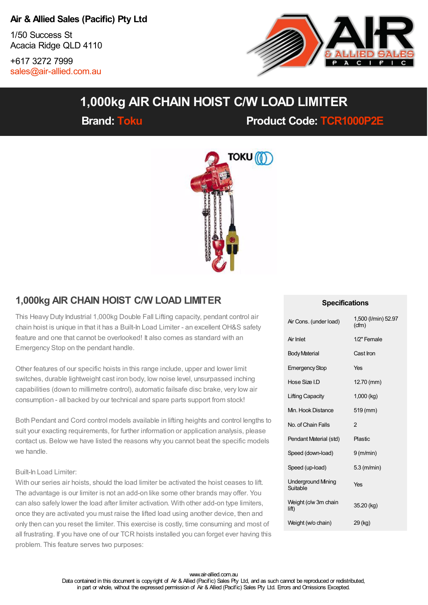### **Air & Allied Sales (Pacific) Pty Ltd**

1/50 Success St Acacia Ridge QLD 4110

+617 3272 7999 [sales@air-allied.com.au](mailto:sales@air-allied.com.au)



# **1,000kg AIR CHAIN HOIST C/W LOAD LIMITER**

**Brand: [Toku](https://store.air-allied.com.au/toku) Product Code: [TCR1000P2E](https://store.air-allied.com.au/toku-tcr1000p2e-1000kg-air-chain-hoist-cw-load-limiter)**



## **1,000kg AIR CHAIN HOIST C/W LOAD LIMITER**

This Heavy Duty Industrial 1,000kg Double Fall Lifting capacity, pendant control air chain hoist is unique in that it has a Built-In Load Limiter - an excellent OH&S safety feature and one that cannot be overlooked! It also comes as standard with an Emergency Stop on the pendant handle.

Other features of our specific hoists in this range include, upper and lower limit switches, durable lightweight cast iron body, low noise level, unsurpassed inching capabilities (down to millimetre control), automatic failsafe disc brake, very low air consumption - all backed by our technical and spare parts support from stock!

Both Pendant and Cord control models available in lifting heights and control lengths to suit your exacting requirements, for further information or application analysis, please contact us. Below we have listed the reasons why you cannot beat the specific models we handle.

#### Built-In Load Limiter:

With our series air hoists, should the load limiter be activated the hoist ceases to lift. The advantage is our limiter is not an add-on like some other brands may offer. You can also safely lower the load after limiter activation. With other add-on type limiters, once they are activated you must raise the lifted load using another device, then and only then can you reset the limiter. This exercise is costly, time consuming and most of all frustrating. If you have one of our TCR hoists installed you can forget ever having this problem. This feature serves two purposes:

#### **Specifications**

| Air Cons. (under load)                | 1,500 (I/min) 52.97<br>(cfm) |
|---------------------------------------|------------------------------|
| Air Inlet                             | 1/2" Female                  |
| <b>Body Material</b>                  | Cast Iron                    |
| <b>Emergency Stop</b>                 | Yes                          |
| Hose Size LD                          | 12.70 (mm)                   |
| Lifting Capacity                      | $1,000$ (kg)                 |
| Mn. Hook Distance                     | 519 (mm)                     |
| No. of Chain Falls                    | 2                            |
| Pendant Material (std)                | <b>Plastic</b>               |
| Speed (down-load)                     | $9$ (m/min)                  |
| Speed (up-load)                       | $5.3$ (m/min)                |
| <b>Underground Mining</b><br>Suitable | Yes                          |
| Weight (c/w 3m chain<br>lift)         | 35.20 (kg)                   |
| Weight (w/o chain)                    | 29 (kg)                      |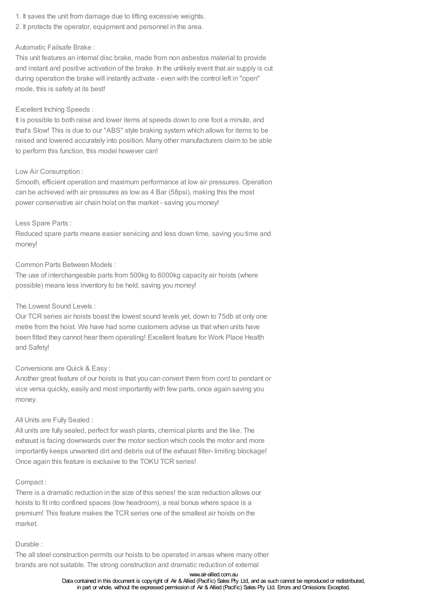- 1. It saves the unit from damage due to lifting excessive weights.
- 2. It protects the operator, equipment and personnel in the area.

#### Automatic Failsafe Brake :

This unit features an internal disc brake, made from non asbestos material to provide and instant and positive activation of the brake. In the unlikely event that air supply is cut during operation the brake will instantly activate - even with the control left in "open" mode, this is safety at its best!

#### Excellent Inching Speeds :

It is possible to both raise and lower items at speeds down to one foot a minute, and that's Slow! This is due to our "ABS" style braking system which allows for items to be raised and lowered accurately into position. Many other manufacturers claim to be able to perform this function, this model however can!

#### Low Air Consumption :

Smooth, efficient operation and maximum performance at low air pressures. Operation can be achieved with air pressures as low as 4 Bar (58psi), making this the most power conservative air chain hoist on the market - saving you money!

#### Less Spare Parts :

Reduced spare parts means easier servicing and less down time, saving you time and money!

#### Common Parts Between Models :

The use of interchangeable parts from 500kg to 6000kg capacity air hoists (where possible) means less inventory to be held, saving you money!

#### The Lowest Sound Levels :

Our TCR series air hoists boast the lowest sound levels yet, down to 75db at only one metre from the hoist. We have had some customers advise us that when units have been fitted they cannot hear them operating! Excellent feature for Work Place Health and Safety!

#### Conversions are Quick & Easy :

Another great feature of our hoists is that you can convert them from cord to pendant or vice versa quickly, easily and most importantly with few parts, once again saving you money.

#### All Units are Fully Sealed :

All units are fully sealed, perfect for wash plants, chemical plants and the like. The exhaust is facing downwards over the motor section which cools the motor and more importantly keeps unwanted dirt and debris out of the exhaust filter- limiting blockage! Once again this feature is exclusive to the TOKU TCR series!

#### Compact :

There is a dramatic reduction in the size of this series! the size reduction allows our hoists to fit into confined spaces (low headroom), a real bonus where space is a premium! This feature makes the TCR series one of the smallest air hoists on the market.

#### Durable :

The all steel construction permits our hoists to be operated in areas where many other brands are not suitable. The strong construction and dramatic reduction of external

#### www.air-allied.com.au

Data contained in this document is copyright of Air & Allied (Pacific) Sales Pty Ltd, and as such cannot be reproduced or redistributed, in part or whole, without the expressed permission of Air & Allied (Pacific) Sales Pty Ltd. Errors and Omissions Excepted.